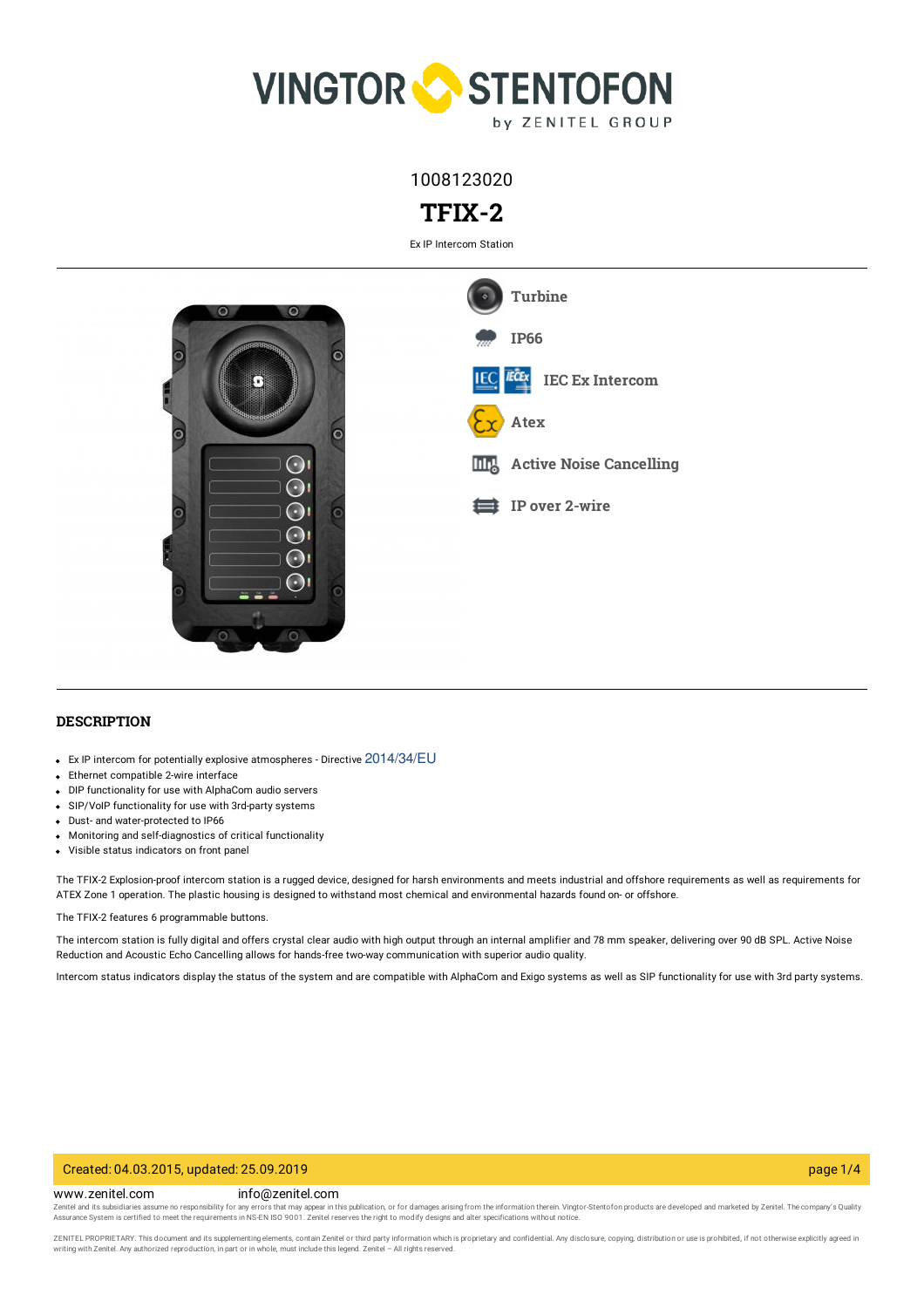

1008123020

# **TFIX-2**

Ex IP Intercom Station



### **DESCRIPTION**

- Ex IP intercom for potentially explosive atmospheres Directive 2014/34/EU
- Ethernet compatible 2-wire interface
- DIP functionality for use with AlphaCom audio servers
- SIP/VoIP functionality for use with 3rd-party systems
- Dust- and water-protected to IP66
- Monitoring and self-diagnostics of critical functionality
- Visible status indicators on front panel

The TFIX-2 Explosion-proof intercom station is a rugged device, designed for harsh environments and meets industrial and offshore requirements as well as requirements for ATEX Zone 1 operation. The plastic housing is designed to withstand most chemical and environmental hazards found on- or offshore.

The TFIX-2 features 6 programmable buttons.

The intercom station is fully digital and offers crystal clear audio with high output through an internal amplifier and 78 mm speaker, delivering over 90 dB SPL. Active Noise Reduction and Acoustic Echo Cancelling allows for hands-free two-way communication with superior audio quality.

Intercom status indicators display the status of the system and are compatible with AlphaCom and Exigo systems as well as SIP functionality for use with 3rd party systems.

#### Created: 04.03.2015, updated: 25.09.2019 page 1/4

www.zenitel.com info@zenitel.com

Zenitel and its subsidiaries assume no responsibility for any errors that may appear in this publication, or for damages arising from the information therein. Vingtor-Stentofon products are developed and marketed by Zenite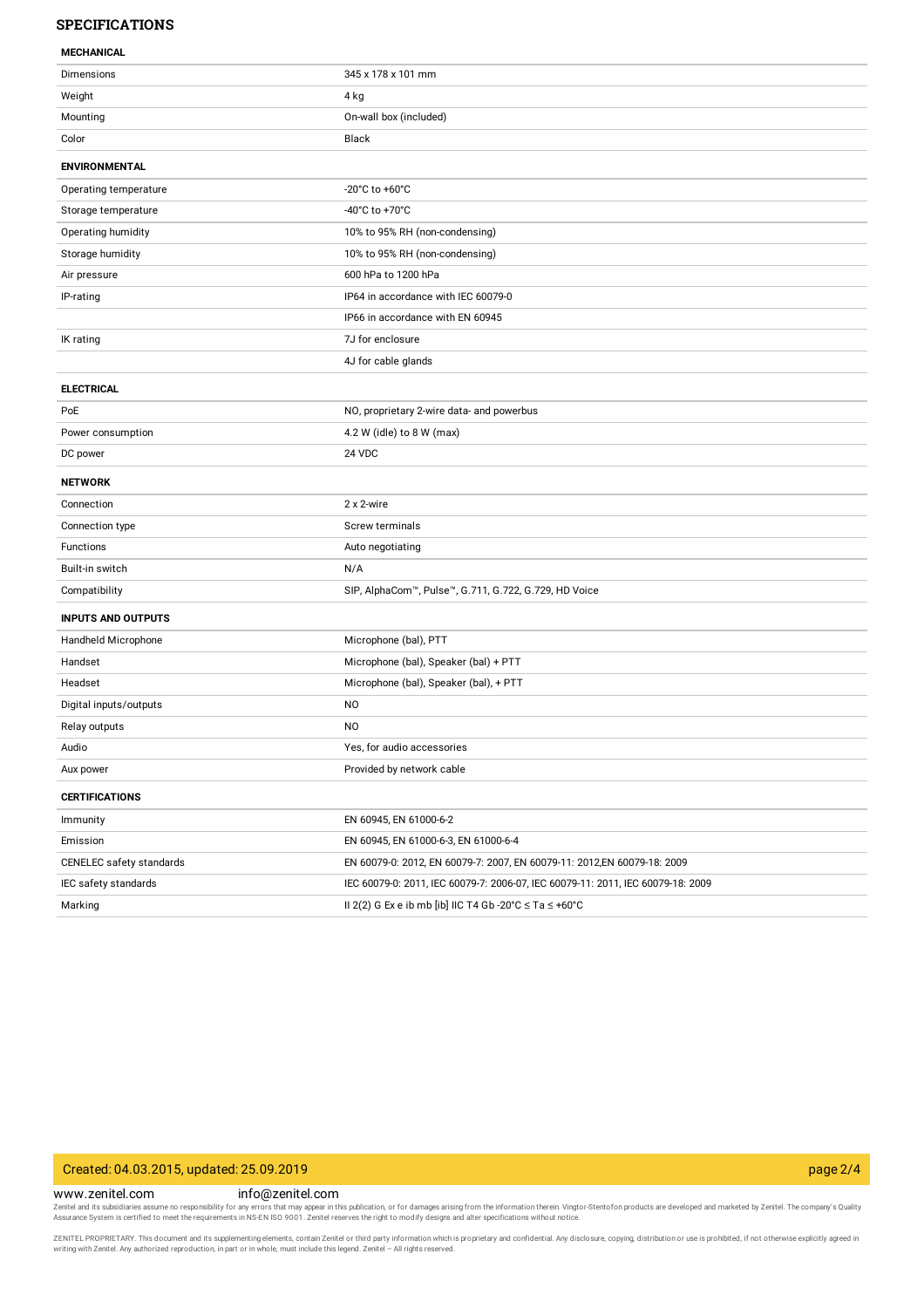### **SPECIFICATIONS**

#### **MECHANICAL**

| MEGUNTUML                 |                                                                                 |
|---------------------------|---------------------------------------------------------------------------------|
| Dimensions                | 345 x 178 x 101 mm                                                              |
| Weight                    | 4 kg                                                                            |
| Mounting                  | On-wall box (included)                                                          |
| Color                     | Black                                                                           |
| <b>ENVIRONMENTAL</b>      |                                                                                 |
| Operating temperature     | -20 $^{\circ}$ C to +60 $^{\circ}$ C                                            |
| Storage temperature       | -40°C to +70°C                                                                  |
| Operating humidity        | 10% to 95% RH (non-condensing)                                                  |
| Storage humidity          | 10% to 95% RH (non-condensing)                                                  |
| Air pressure              | 600 hPa to 1200 hPa                                                             |
| IP-rating                 | IP64 in accordance with IEC 60079-0                                             |
|                           | IP66 in accordance with EN 60945                                                |
| IK rating                 | 7J for enclosure                                                                |
|                           | 4J for cable glands                                                             |
| <b>ELECTRICAL</b>         |                                                                                 |
| PoE                       | NO, proprietary 2-wire data- and powerbus                                       |
| Power consumption         | 4.2 W (idle) to 8 W (max)                                                       |
| DC power                  | 24 VDC                                                                          |
| <b>NETWORK</b>            |                                                                                 |
| Connection                | 2 x 2-wire                                                                      |
| Connection type           | Screw terminals                                                                 |
| Functions                 | Auto negotiating                                                                |
| Built-in switch           | N/A                                                                             |
| Compatibility             | SIP, AlphaCom™, Pulse™, G.711, G.722, G.729, HD Voice                           |
| <b>INPUTS AND OUTPUTS</b> |                                                                                 |
| Handheld Microphone       | Microphone (bal), PTT                                                           |
| Handset                   | Microphone (bal), Speaker (bal) + PTT                                           |
| Headset                   | Microphone (bal), Speaker (bal), + PTT                                          |
| Digital inputs/outputs    | N <sub>O</sub>                                                                  |
| Relay outputs             | NO.                                                                             |
| Audio                     | Yes, for audio accessories                                                      |
| Aux power                 | Provided by network cable                                                       |
| <b>CERTIFICATIONS</b>     |                                                                                 |
| Immunity                  | EN 60945, EN 61000-6-2                                                          |
| Emission                  | EN 60945, EN 61000-6-3, EN 61000-6-4                                            |
| CENELEC safety standards  | EN 60079-0: 2012, EN 60079-7: 2007, EN 60079-11: 2012, EN 60079-18: 2009        |
| IEC safety standards      | IEC 60079-0: 2011, IEC 60079-7: 2006-07, IEC 60079-11: 2011, IEC 60079-18: 2009 |
| Marking                   | II 2(2) G Ex e ib mb [ib] IIC T4 Gb -20°C $\leq$ Ta $\leq$ +60°C                |

## Created: 04.03.2015, updated: 25.09.2019 page 2/4

#### www.zenitel.com info@zenitel.com

Zenitel and its subsidiaries assume no responsibility for any errors that may appear in this publication, or for damages arising from the information therein. Vingtor-Stentofon products are developed and marketed by Zenite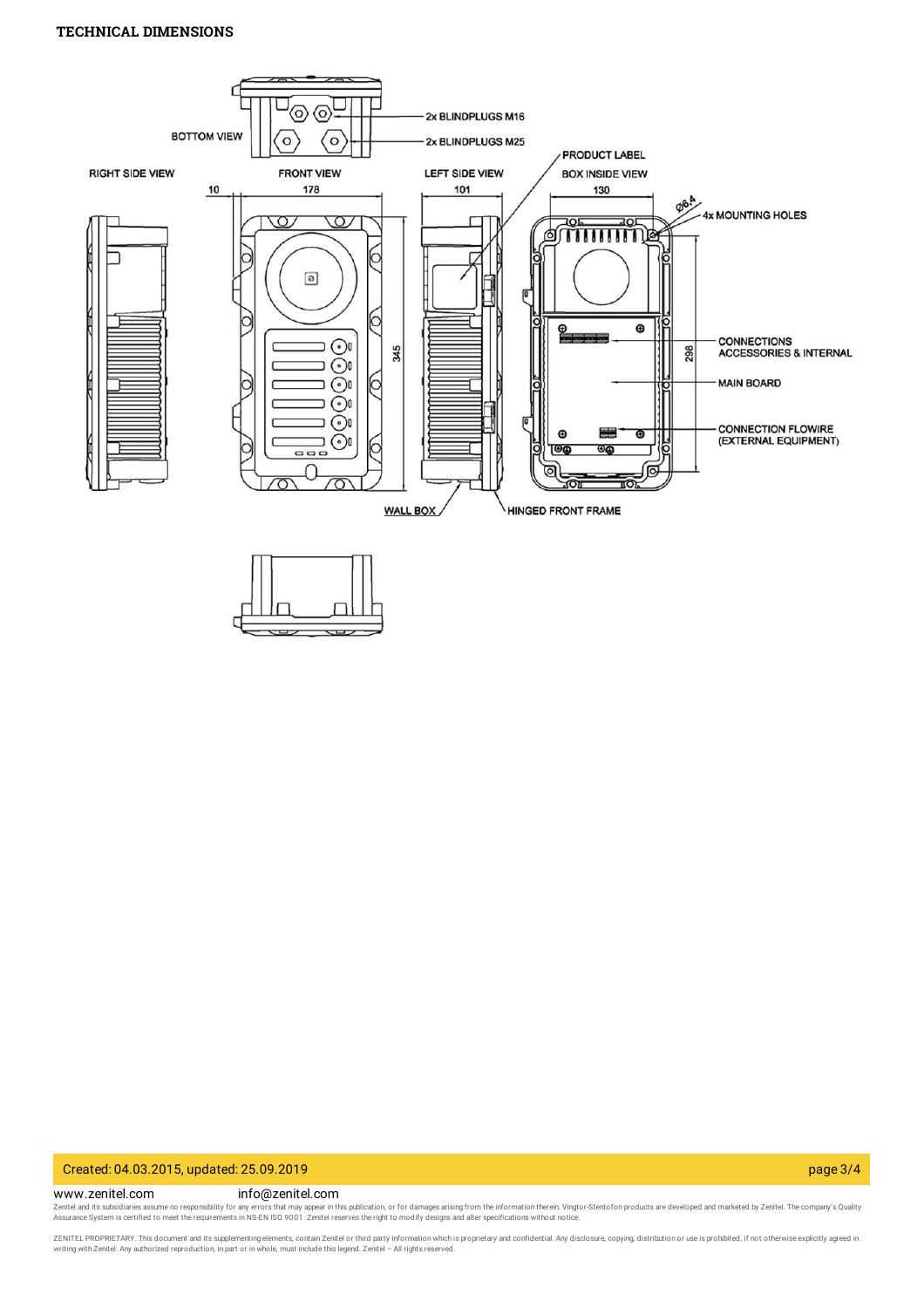### **TECHNICAL DIMENSIONS**



#### Created: 04.03.2015, updated: 25.09.2019 page 3/4

www.zenitel.com info@zenitel.com

Zenitel and its subsidiaries assume no responsibility for any errors that may appear in this publication, or for damages arising from the information therein. Vingtor-Stentofon products are developed and marketed by Zenite